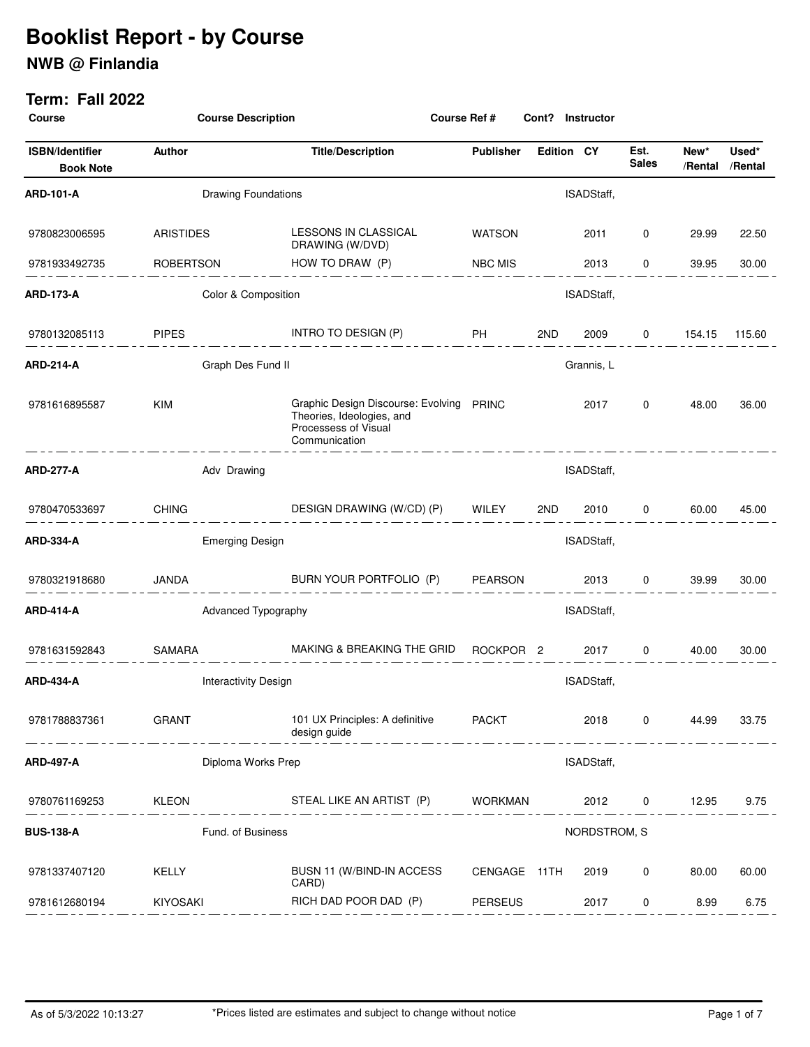## **NWB @ Finlandia**

| <b>Course</b>                              | <b>Course Description</b>       | <b>Course Ref #</b>                                                                                            |                      | Cont?             | Instructor   |                      |                 |                  |
|--------------------------------------------|---------------------------------|----------------------------------------------------------------------------------------------------------------|----------------------|-------------------|--------------|----------------------|-----------------|------------------|
| <b>ISBN/Identifier</b><br><b>Book Note</b> | Author                          | <b>Title/Description</b>                                                                                       | <b>Publisher</b>     | <b>Edition CY</b> |              | Est.<br><b>Sales</b> | New*<br>/Rental | Used*<br>/Rental |
| ARD-101-A                                  | <b>Drawing Foundations</b>      |                                                                                                                |                      |                   | ISADStaff,   |                      |                 |                  |
| 9780823006595                              | <b>ARISTIDES</b>                | LESSONS IN CLASSICAL<br>DRAWING (W/DVD)                                                                        | <b>WATSON</b>        |                   | 2011         | 0                    | 29.99           | 22.50            |
| 9781933492735                              | <b>ROBERTSON</b>                | HOW TO DRAW (P)                                                                                                | <b>NBC MIS</b>       |                   | 2013         | 0                    | 39.95           | 30.00            |
| ARD-173-A                                  | Color & Composition             |                                                                                                                |                      |                   | ISADStaff,   |                      |                 |                  |
| 9780132085113                              | <b>PIPES</b>                    | INTRO TO DESIGN (P)                                                                                            | <b>PH</b>            | 2ND               | 2009         | 0                    | 154.15          | 115.60           |
| ARD-214-A                                  | Graph Des Fund II<br>Grannis, L |                                                                                                                |                      |                   |              |                      |                 |                  |
| 9781616895587                              | <b>KIM</b>                      | Graphic Design Discourse: Evolving PRINC<br>Theories, Ideologies, and<br>Processess of Visual<br>Communication |                      |                   | 2017         | 0                    | 48.00           | 36.00            |
| ARD-277-A                                  | Adv Drawing                     |                                                                                                                |                      |                   | ISADStaff,   |                      |                 |                  |
| 9780470533697                              | <b>CHING</b>                    | DESIGN DRAWING (W/CD) (P)                                                                                      | WILEY                | 2ND               | 2010         | 0                    | 60.00           | 45.00            |
| ARD-334-A                                  | <b>Emerging Design</b>          |                                                                                                                |                      |                   | ISADStaff,   |                      |                 |                  |
| 9780321918680                              | JANDA                           | BURN YOUR PORTFOLIO (P)                                                                                        | <b>PEARSON</b>       |                   | 2013         | 0                    | 39.99           | 30.00            |
| <b>ARD-414-A</b>                           |                                 | Advanced Typography                                                                                            |                      |                   | ISADStaff,   |                      |                 |                  |
| 9781631592843                              | <b>SAMARA</b>                   | MAKING & BREAKING THE GRID                                                                                     | ROCKPOR <sub>2</sub> |                   | 2017         | 0                    | 40.00           | 30.00            |
| ARD-434-A                                  | <b>Interactivity Design</b>     |                                                                                                                |                      |                   | ISADStaff,   |                      |                 |                  |
| 9781788837361                              | <b>GRANT</b>                    | 101 UX Principles: A definitive<br>design guide                                                                | <b>PACKT</b>         |                   | 2018         | 0                    | 44.99           | 33.75            |
| <b>ARD-497-A</b>                           | Diploma Works Prep              |                                                                                                                |                      |                   | ISADStaff,   |                      |                 |                  |
| 9780761169253                              | <b>KLEON</b>                    | STEAL LIKE AN ARTIST (P)                                                                                       | <b>WORKMAN</b>       |                   | 2012         | $\mathbf{0}$         | 12.95           | 9.75             |
| <b>BUS-138-A</b>                           | Fund. of Business               |                                                                                                                |                      |                   | NORDSTROM, S |                      |                 |                  |
| 9781337407120                              | KELLY                           | BUSN 11 (W/BIND-IN ACCESS<br>CARD)                                                                             | CENGAGE 11TH         |                   | 2019         | 0                    | 80.00           | 60.00            |
| 9781612680194                              | KIYOSAKI                        | RICH DAD POOR DAD (P)                                                                                          | <b>PERSEUS</b>       |                   | 2017         | 0                    | 8.99            | 6.75             |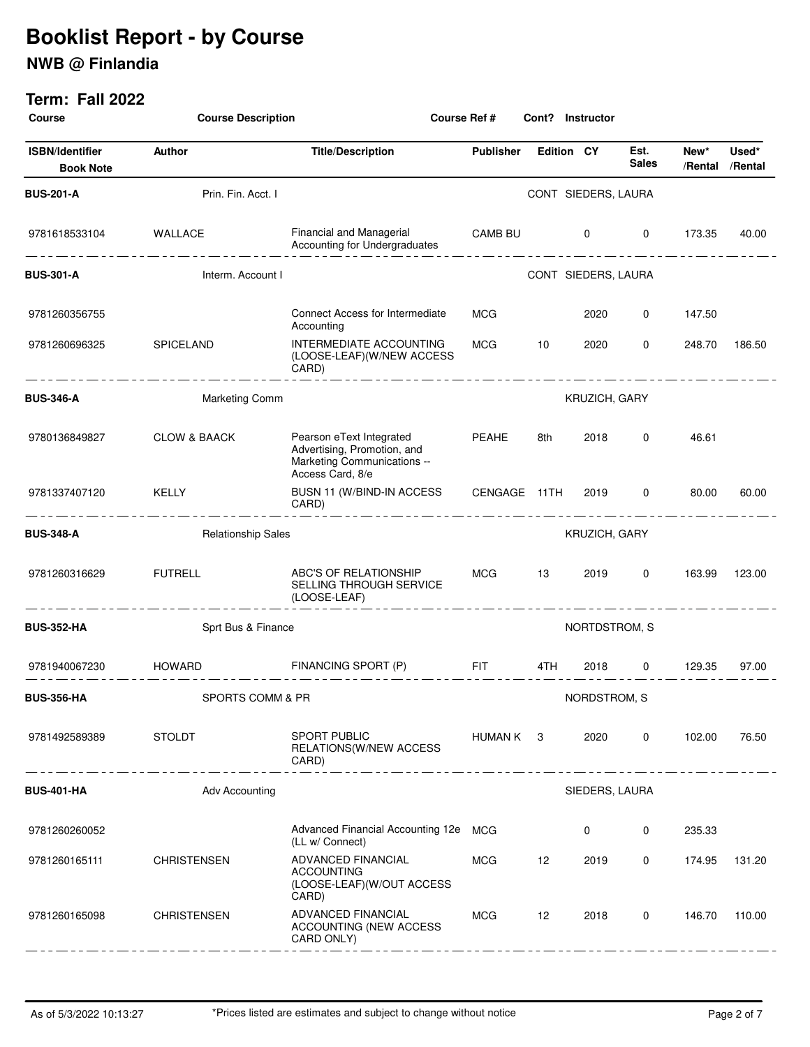## **NWB @ Finlandia**

| <b>Course</b>                              |                                                   | <b>Course Description</b><br>Course Ref #<br><b>Instructor</b><br>Cont?                                    |                                       |                   |                     |                                      |                         |        |
|--------------------------------------------|---------------------------------------------------|------------------------------------------------------------------------------------------------------------|---------------------------------------|-------------------|---------------------|--------------------------------------|-------------------------|--------|
| <b>ISBN/Identifier</b><br><b>Book Note</b> | Author                                            | <b>Title/Description</b>                                                                                   | <b>Publisher</b>                      | <b>Edition CY</b> |                     | Est.<br><b>Sales</b>                 | New*<br>/Rental /Rental | Used*  |
| <b>BUS-201-A</b>                           | Prin. Fin. Acct. I                                |                                                                                                            |                                       |                   | CONT SIEDERS, LAURA |                                      |                         |        |
| 9781618533104                              | <b>WALLACE</b><br>____________________________    | Financial and Managerial<br>Accounting for Undergraduates                                                  | CAMB BU 0                             |                   |                     | $\overline{0}$<br>__________________ | 173.35                  | 40.00  |
| <b>BUS-301-A</b>                           | Interm. Account I                                 |                                                                                                            |                                       |                   | CONT SIEDERS, LAURA |                                      |                         |        |
| 9781260356755                              |                                                   | <b>Connect Access for Intermediate</b><br>Accounting                                                       | MCG                                   |                   | 2020                | 0                                    | 147.50                  |        |
| 9781260696325                              | SPICELAND<br>_ _ _ <u>__</u> _ _ <u>__</u> _ _ __ | INTERMEDIATE ACCOUNTING<br>(LOOSE-LEAF)(W/NEW ACCESS<br>CARD)                                              | MCG                                   | 10                | 2020                | 0<br>__ _ _ _ _ _ _ _ _ _ _ _ _      | 248.70                  | 186.50 |
| <b>BUS-346-A</b>                           | <b>Marketing Comm</b>                             |                                                                                                            | <b>KRUZICH, GARY</b>                  |                   |                     |                                      |                         |        |
| 9780136849827                              | <b>CLOW &amp; BAACK</b>                           | Pearson eText Integrated<br>Advertising, Promotion, and<br>Marketing Communications --<br>Access Card, 8/e | PEAHE                                 | 8th               | 2018                | $\mathbf 0$                          | 46.61                   |        |
| 9781337407120                              | KELLY<br>_ _ _ __ _ _ __ _ _ _ __ _ _             | BUSN 11 (W/BIND-IN ACCESS CENGAGE 11TH<br>CARD)                                                            |                                       |                   | 2019                | $\mathbf 0$                          | 80.00                   | 60.00  |
| <b>BUS-348-A</b>                           | <b>Relationship Sales</b>                         |                                                                                                            |                                       | KRUZICH, GARY     |                     |                                      |                         |        |
| 9781260316629                              | <b>FUTRELL</b><br>____________                    | ABC'S OF RELATIONSHIP<br>SELLING THROUGH SERVICE<br>(LOOSE-LEAF)                                           | <b>MCG</b><br>_______________________ | 13                | 2019                | 0                                    | 163.99                  | 123.00 |
| <b>BUS-352-HA</b>                          | Sprt Bus & Finance                                |                                                                                                            | NORTDSTROM, S                         |                   |                     |                                      |                         |        |
| 9781940067230                              | HOWARD                                            | FINANCING SPORT (P)                                                                                        | <b>EIT</b>                            | 4TH               | 2018                | $\mathbf{0}$                         | 129.35                  | 97.00  |
| <b>BUS-356-HA</b>                          | SPORTS COMM & PR                                  |                                                                                                            |                                       |                   | NORDSTROM, S        |                                      |                         |        |
| 9781492589389                              | <b>STOLDT</b><br>. <u>.</u>                       | <b>SPORT PUBLIC</b><br><b>RELATIONS(W/NEW ACCESS</b><br>CARD)                                              | HUMAN K 3                             |                   | 2020                | 0                                    | 102.00                  | 76.50  |
| <b>BUS-401-HA</b>                          | Adv Accounting                                    |                                                                                                            |                                       |                   | SIEDERS, LAURA      |                                      |                         |        |
| 9781260260052                              |                                                   | Advanced Financial Accounting 12e<br>(LL w/ Connect)                                                       | MCG                                   |                   | 0                   | 0                                    | 235.33                  |        |
| 9781260165111                              | <b>CHRISTENSEN</b>                                | ADVANCED FINANCIAL<br><b>ACCOUNTING</b><br>(LOOSE-LEAF)(W/OUT ACCESS<br>CARD)                              | MCG                                   | 12                | 2019                | 0                                    | 174.95                  | 131.20 |
| 9781260165098                              | <b>CHRISTENSEN</b>                                | ADVANCED FINANCIAL<br>ACCOUNTING (NEW ACCESS<br>CARD ONLY)                                                 | MCG                                   | 12                | 2018                | 0                                    | 146.70                  | 110.00 |
|                                            |                                                   |                                                                                                            |                                       |                   |                     |                                      |                         |        |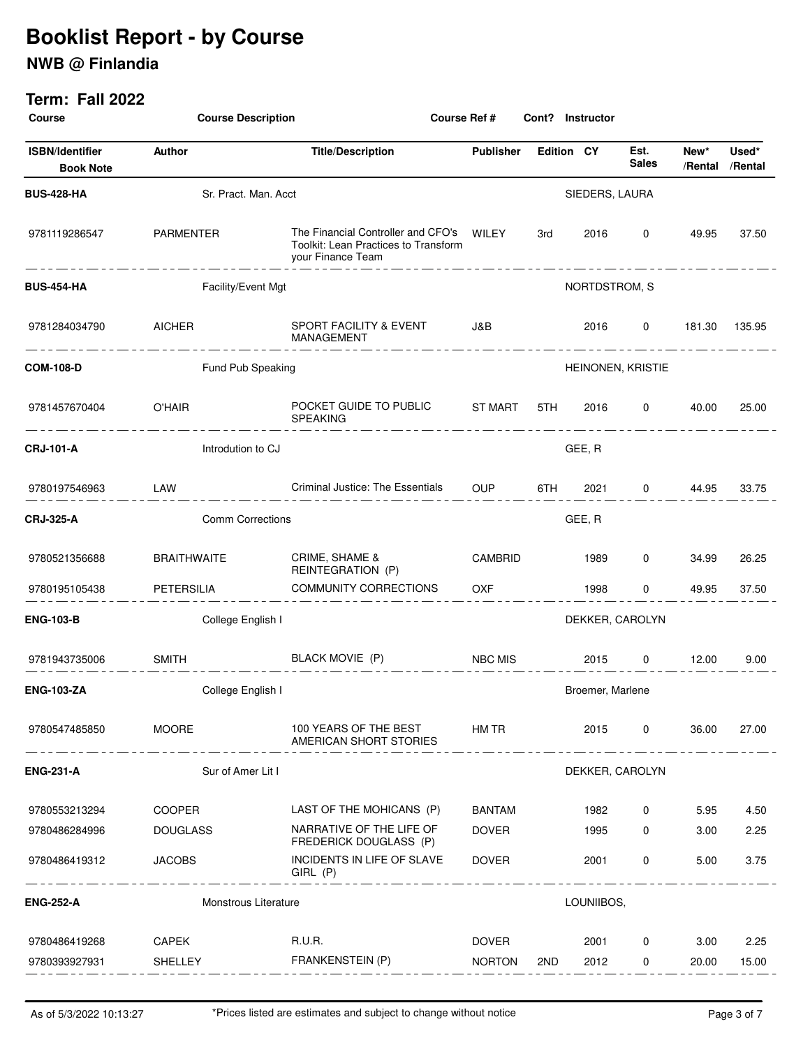## **NWB @ Finlandia**

| <b>Course</b>                              | <b>Course Description</b> |                                                                                                       | Course Ref #     |                   | Cont? Instructor |                      |                         |        |
|--------------------------------------------|---------------------------|-------------------------------------------------------------------------------------------------------|------------------|-------------------|------------------|----------------------|-------------------------|--------|
| <b>ISBN/Identifier</b><br><b>Book Note</b> | Author                    | <b>Title/Description</b>                                                                              | <b>Publisher</b> | <b>Edition CY</b> |                  | Est.<br><b>Sales</b> | New*<br>/Rental /Rental | Used*  |
| <b>BUS-428-HA</b>                          | Sr. Pract. Man. Acct      |                                                                                                       |                  |                   | SIEDERS, LAURA   |                      |                         |        |
| 9781119286547                              | PARMENTER                 | The Financial Controller and CFO's WILEY<br>Toolkit: Lean Practices to Transform<br>your Finance Team |                  | 3rd               | 2016             | $\mathbf 0$          | 49.95                   | 37.50  |
| <b>BUS-454-HA</b>                          | Facility/Event Mgt        |                                                                                                       |                  |                   | NORTDSTROM, S    |                      |                         |        |
| 9781284034790                              | <b>AICHER</b>             | SPORT FACILITY & EVENT<br>MANAGEMENT<br>____________                                                  | J&B              |                   | 2016             | $\mathbf 0$          | 181.30                  | 135.95 |
| <b>COM-108-D</b>                           | Fund Pub Speaking         |                                                                                                       |                  |                   |                  | HEINONEN, KRISTIE    |                         |        |
| 9781457670404                              | <b>O'HAIR</b>             | POCKET GUIDE TO PUBLIC ST MART<br><b>SPEAKING</b>                                                     |                  | 5TH F             | 2016             | $\mathbf{0}$         | 40.00                   | 25.00  |
| <b>CRJ-101-A</b>                           | Introdution to CJ         |                                                                                                       |                  |                   | GEE, R           |                      |                         |        |
| 9780197546963                              | LAW                       | Criminal Justice: The Essentials OUP                                                                  |                  | 6TH C             | 2021             | $\overline{0}$       | 44.95                   | 33.75  |
| <b>CRJ-325-A</b>                           | <b>Comm Corrections</b>   |                                                                                                       |                  |                   | GEE, R           |                      |                         |        |
| 9780521356688                              | <b>BRAITHWAITE</b>        | CRIME, SHAME &<br>REINTEGRATION (P)                                                                   | CAMBRID          |                   | 1989             | 0                    | 34.99                   | 26.25  |
| 9780195105438                              | PETERSILIA                | <b>COMMUNITY CORRECTIONS</b>                                                                          | <b>OXF</b>       |                   | 1998             | 0                    | 49.95                   | 37.50  |
| <b>ENG-103-B</b>                           | College English I         |                                                                                                       |                  | DEKKER, CAROLYN   |                  |                      |                         |        |
| 9781943735006                              | <b>SMITH</b>              | BLACK MOVIE (P)                                                                                       | NBC MIS          |                   | 2015             | $\overline{0}$       | 12.00                   | 9.00   |
| <b>ENG-103-ZA</b>                          | College English I         |                                                                                                       |                  |                   | Broemer, Marlene |                      |                         |        |
| 9780547485850                              | <b>MOORE</b>              | 100 YEARS OF THE BEST<br>AMERICAN SHORT STORIES                                                       | HM TR            |                   | 2015             | $\overline{0}$       | 36.00                   | 27.00  |
| <b>ENG-231-A</b>                           | Sur of Amer Lit I         |                                                                                                       |                  |                   |                  | DEKKER, CAROLYN      |                         |        |
| 9780553213294                              | COOPER                    | LAST OF THE MOHICANS (P)                                                                              | BANTAM           |                   | 1982             | 0                    | 5.95                    | 4.50   |
| 9780486284996                              | <b>DOUGLASS</b>           | NARRATIVE OF THE LIFE OF<br>FREDERICK DOUGLASS (P)                                                    | <b>DOVER</b>     |                   | 1995             | 0                    | 3.00                    | 2.25   |
| 9780486419312                              | <b>JACOBS</b>             | INCIDENTS IN LIFE OF SLAVE<br>GIRL (P)                                                                | DOVER            |                   | 2001             | $\mathbf{0}$         | 5.00                    | 3.75   |
| <b>ENG-252-A</b>                           | Monstrous Literature      |                                                                                                       |                  |                   | LOUNIIBOS,       |                      |                         |        |
| 9780486419268                              | CAPEK                     | R.U.R.                                                                                                | DOVER            |                   | 2001             | $\mathbf{0}$         | 3.00                    | 2.25   |
| 9780393927931                              | SHELLEY                   | FRANKENSTEIN (P)                                                                                      | <b>NORTON</b>    | 2ND               | 2012             | $\mathbf 0$          | 20.00                   | 15.00  |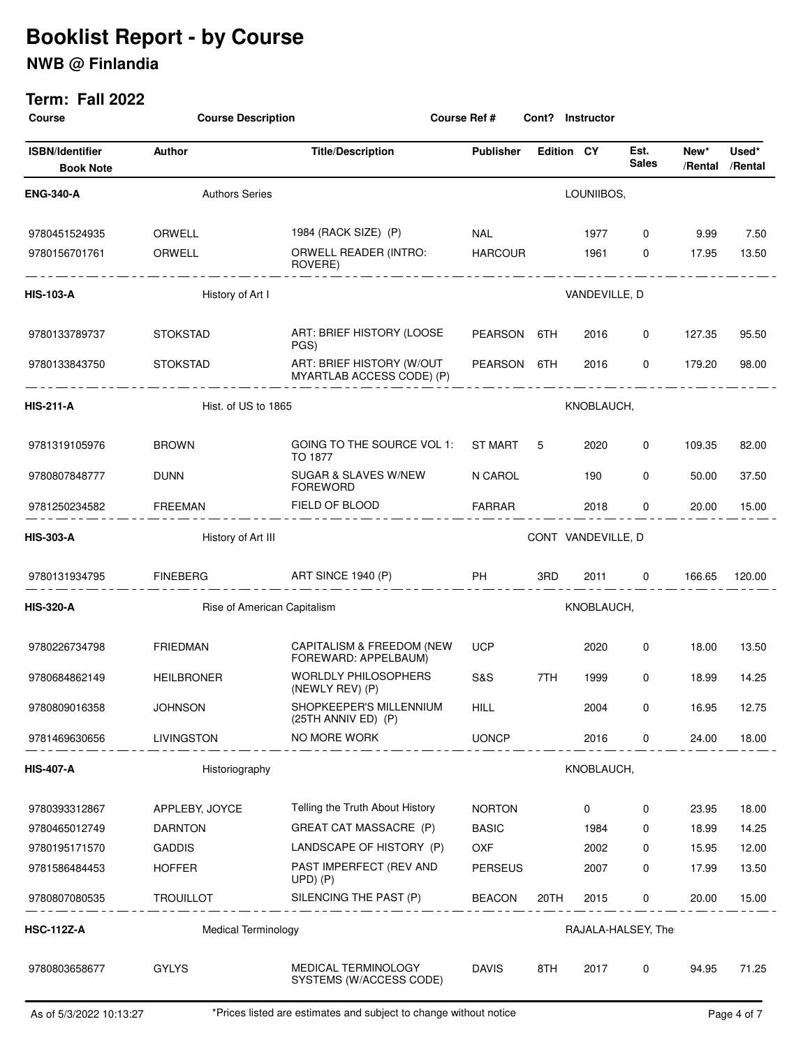## **NWB @ Finlandia**

| <b>Course</b>                              |                                     | <b>Course Description</b><br>Course Ref #<br>Cont? Instructor |                                               |                   |               |                      |                 |                  |
|--------------------------------------------|-------------------------------------|---------------------------------------------------------------|-----------------------------------------------|-------------------|---------------|----------------------|-----------------|------------------|
| <b>ISBN/Identifier</b><br><b>Book Note</b> | Author                              | <b>Title/Description</b>                                      | <b>Publisher</b>                              | <b>Edition CY</b> |               | Est.<br><b>Sales</b> | New*<br>/Rental | Used*<br>/Rental |
| <b>ENG-340-A</b>                           | <b>Authors Series</b>               |                                                               |                                               |                   | LOUNIIBOS.    |                      |                 |                  |
| 9780451524935                              | ORWELL                              | 1984 (RACK SIZE) (P)                                          | <b>NAL</b>                                    |                   | 1977 —        | $\mathbf{0}$         | 9.99            | 7.50             |
| 9780156701761                              | ORWELL<br>_________________________ | ORWELL READER (INTRO:<br>ROVERE)                              | <b>HARCOUR</b>                                |                   | 1961 — 19     | $\mathbf{0}$         | 17.95           | 13.50            |
| <b>HIS-103-A</b>                           | History of Art I                    |                                                               |                                               |                   | VANDEVILLE, D |                      |                 |                  |
| 9780133789737                              | <b>STOKSTAD</b>                     | ART: BRIEF HISTORY (LOOSE<br>PGS)                             | PEARSON 6TH                                   |                   | 2016          | 0                    | 127.35          | 95.50            |
| 9780133843750                              | STOKSTAD                            | ART: BRIEF HISTORY (W/OUT<br>MYARTLAB ACCESS CODE) (P)        | PEARSON 6TH                                   |                   | 2016          | $\mathbf 0$          | 179.20          | 98.00            |
| <b>HIS-211-A</b>                           | Hist. of US to 1865                 |                                                               | -- <del>-----------------</del><br>KNOBLAUCH, |                   |               |                      |                 |                  |
| 9781319105976                              | <b>BROWN</b>                        | GOING TO THE SOURCE VOL 1:<br><b>TO 1877</b>                  | ST MART 5                                     |                   | 2020          | 0                    | 109.35          | 82.00            |
| 9780807848777                              | <b>DUNN</b>                         | SUGAR & SLAVES W/NEW<br><b>FOREWORD</b>                       | N CAROL                                       |                   | 190           | 0                    | 50.00           | 37.50            |
| 9781250234582                              | FREEMAN                             | FIELD OF BLOOD                                                | FARRAR                                        |                   | 2018          | $\mathbf{0}$         | 20.00           | 15.00            |
| HIS-303-A                                  | History of Art III                  |                                                               | CONT VANDEVILLE, D                            |                   |               |                      |                 |                  |
| 9780131934795                              | FINEBERG ART SINCE 1940 (P)         | <b>Example 19 PH</b>                                          |                                               | 3RD               |               | 2011 0               |                 | 166.65 120.00    |
| <b>HIS-320-A</b>                           | Rise of American Capitalism         |                                                               | KNOBLAUCH,                                    |                   |               |                      |                 |                  |
| 9780226734798                              | <b>FRIEDMAN</b>                     | CAPITALISM & FREEDOM (NEW<br>FOREWARD: APPELBAUM)             | <b>UCP</b>                                    |                   | 2020          | 0                    | 18.00           | 13.50            |
| 9780684862149                              | HEILBRONER                          | <b>WORLDLY PHILOSOPHERS</b><br>(NEWLY REV) (P)                | S&S                                           | 7TH               | 1999          | 0                    | 18.99           | 14.25            |
| 9780809016358                              | <b>JOHNSON</b>                      | SHOPKEEPER'S MILLENNIUM<br>$(25TH ANNIV ED)$ $(P)$            | HILL                                          |                   | 2004          | 0                    | 16.95           | 12.75            |
| 9781469630656                              | LIVINGSTON                          | NO MORE WORK                                                  | <b>UONCP</b>                                  |                   | 2016          | 0                    | 24.00           | 18.00            |
| <b>HIS-407-A</b>                           | Historiography                      |                                                               |                                               |                   | KNOBLAUCH,    |                      |                 |                  |
| 9780393312867                              | APPLEBY, JOYCE                      | Telling the Truth About History                               | <b>NORTON</b>                                 |                   | 0             | 0                    | 23.95           | 18.00            |
| 9780465012749                              | <b>DARNTON</b>                      | GREAT CAT MASSACRE (P)                                        | <b>BASIC</b>                                  |                   | 1984          | 0                    | 18.99           | 14.25            |
| 9780195171570                              | <b>GADDIS</b>                       | LANDSCAPE OF HISTORY (P)                                      | <b>OXF</b>                                    |                   | 2002          | 0                    | 15.95           | 12.00            |
| 9781586484453                              | <b>HOFFER</b>                       | PAST IMPERFECT (REV AND<br>$UPD)$ $(P)$                       | <b>PERSEUS</b>                                |                   | 2007          | 0                    | 17.99           | 13.50            |
| 9780807080535                              | <b>TROUILLOT</b>                    | SILENCING THE PAST (P)                                        | <b>BEACON</b>                                 | 20TH              | 2015          | 0                    | 20.00           | 15.00            |
| <b>HSC-112Z-A</b>                          | <b>Medical Terminology</b>          |                                                               |                                               |                   |               | RAJALA-HALSEY, The   |                 |                  |
| 9780803658677                              | <b>GYLYS</b>                        | MEDICAL TERMINOLOGY<br>SYSTEMS (W/ACCESS CODE)                | <b>DAVIS</b>                                  | 8TH               | 2017          | 0                    | 94.95           | 71.25            |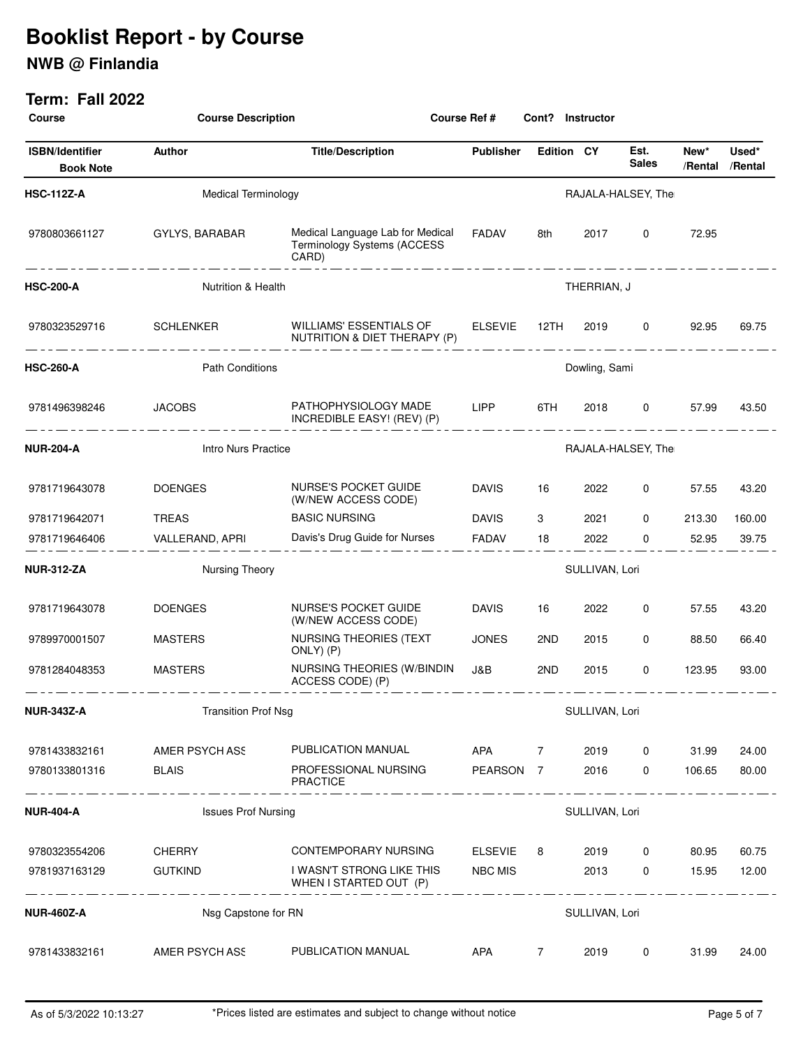## **NWB @ Finlandia**

| <b>Course</b>                              |                            | <b>Course Description</b><br><b>Course Ref#</b>                                                    |                    |                   | Cont? Instructor |                          |        |                          |
|--------------------------------------------|----------------------------|----------------------------------------------------------------------------------------------------|--------------------|-------------------|------------------|--------------------------|--------|--------------------------|
| <b>ISBN/Identifier</b><br><b>Book Note</b> | Author                     | <b>Title/Description</b>                                                                           | <b>Publisher</b>   | <b>Edition CY</b> |                  | Est.<br><b>Sales</b>     | New*   | Used*<br>/Rental /Rental |
| <b>HSC-112Z-A</b>                          | <b>Medical Terminology</b> |                                                                                                    |                    |                   |                  | RAJALA-HALSEY, The       |        |                          |
| 9780803661127                              | GYLYS, BARABAR             | Medical Language Lab for Medical<br>Terminology Systems (ACCESS<br>CARD)<br>---------------------- | FADAV              | 8th               | 2017             | $\mathbf{0}$             | 72.95  |                          |
| <b>HSC-200-A</b>                           | Nutrition & Health         |                                                                                                    |                    |                   | THERRIAN, J      |                          |        |                          |
| 9780323529716                              | SCHLENKER                  | WILLIAMS' ESSENTIALS OF<br>NUTRITION & DIET THERAPY (P)                                            | ELSEVIE 12TH       |                   | 2019             | $\mathbf{0}$<br><u>.</u> | 92.95  | 69.75                    |
| <b>HSC-260-A</b>                           | <b>Path Conditions</b>     |                                                                                                    |                    | Dowling, Sami     |                  |                          |        |                          |
| 9781496398246                              | <b>JACOBS</b>              | PATHOPHYSIOLOGY MADE LIPP<br>INCREDIBLE EASY! (REV) (P)                                            |                    | 6TH               | 2018             | $\overline{0}$           | 57.99  | 43.50                    |
| <b>NUR-204-A</b>                           | <b>Intro Nurs Practice</b> |                                                                                                    | RAJALA-HALSEY, The |                   |                  |                          |        |                          |
| 9781719643078                              | <b>DOENGES</b>             | NURSE'S POCKET GUIDE<br>(W/NEW ACCESS CODE)                                                        | <b>DAVIS</b>       | 16                | 2022             | 0                        | 57.55  | 43.20                    |
| 9781719642071                              | <b>TREAS</b>               | <b>BASIC NURSING</b>                                                                               | <b>DAVIS</b>       | 3                 | 2021             | 0                        | 213.30 | 160.00                   |
| 9781719646406                              | VALLERAND, APRI            | Davis's Drug Guide for Nurses                                                                      | <b>FADAV</b>       | 18                | 2022             | $\Omega$                 | 52.95  | 39.75                    |
| <b>NUR-312-ZA</b>                          | Nursing Theory             |                                                                                                    | SULLIVAN, Lori     |                   |                  |                          |        |                          |
| 9781719643078                              | <b>DOENGES</b>             | NURSE'S POCKET GUIDE<br>(W/NEW ACCESS CODE)                                                        | <b>DAVIS</b>       | 16                | 2022             | 0                        | 57.55  | 43.20                    |
| 9789970001507                              | <b>MASTERS</b>             | NURSING THEORIES (TEXT<br>ONLY) (P)                                                                | <b>JONES</b>       | 2ND               | 2015             | 0                        | 88.50  | 66.40                    |
| 9781284048353                              | <b>MASTERS</b>             | NURSING THEORIES (W/BINDIN<br>ACCESS CODE) (P)                                                     | J&B                | 2ND               | 2015             | 0                        | 123.95 | 93.00                    |
| <b>NUR-343Z-A</b>                          | <b>Transition Prof Nsg</b> |                                                                                                    |                    |                   | SULLIVAN, Lori   |                          |        |                          |
| 9781433832161                              | AMER PSYCH ASS             | PUBLICATION MANUAL                                                                                 | APA                | 7                 | 2019             | 0                        | 31.99  | 24.00                    |
| 9780133801316                              | <b>BLAIS</b>               | PROFESSIONAL NURSING<br><b>PRACTICE</b>                                                            | PEARSON 7          |                   | 2016             | $\mathbf 0$              | 106.65 | 80.00                    |
| <b>NUR-404-A</b>                           | <b>Issues Prof Nursing</b> |                                                                                                    | __ _ _ __ _ _ _    |                   | SULLIVAN, Lori   |                          |        |                          |
| 9780323554206                              | CHERRY                     | CONTEMPORARY NURSING                                                                               | ELSEVIE            | 8                 | 2019             | 0                        | 80.95  | 60.75                    |
| 9781937163129                              | <b>GUTKIND</b>             | I WASN'T STRONG LIKE THIS<br>WHEN I STARTED OUT (P)                                                | <b>NBC MIS</b>     |                   | 2013             | $\mathbf 0$              | 15.95  | 12.00                    |
| <b>NUR-460Z-A</b>                          | Nsg Capstone for RN        |                                                                                                    |                    |                   | SULLIVAN, Lori   |                          |        |                          |
| 9781433832161                              | AMER PSYCH ASS             | PUBLICATION MANUAL                                                                                 | APA                | $\overline{7}$    | 2019             | 0                        | 31.99  | 24.00                    |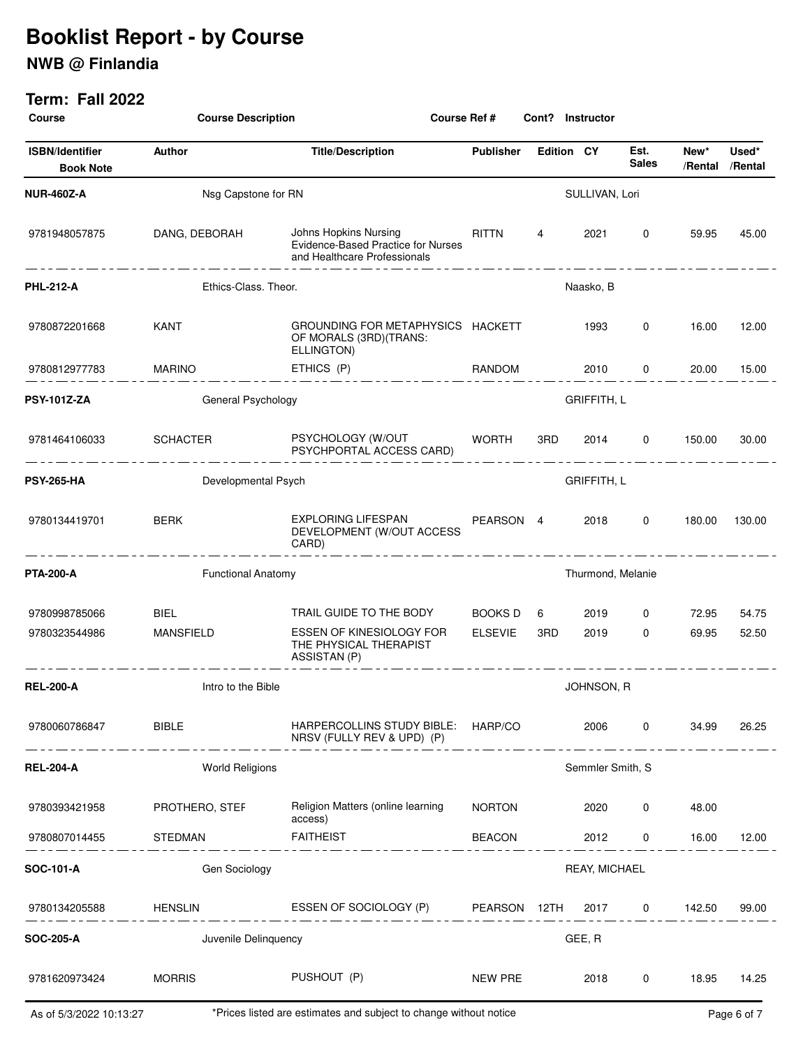## **NWB @ Finlandia**

| <b>Course</b>                              | <b>Course Description</b><br>Course Ref # |                                                                                             |                    | Cont? Instructor  |                   |                      |        |                          |
|--------------------------------------------|-------------------------------------------|---------------------------------------------------------------------------------------------|--------------------|-------------------|-------------------|----------------------|--------|--------------------------|
| <b>ISBN/Identifier</b><br><b>Book Note</b> | Author                                    | <b>Title/Description</b>                                                                    | <b>Publisher</b>   | <b>Edition CY</b> |                   | Est.<br><b>Sales</b> | New*   | Used*<br>/Rental /Rental |
| <b>NUR-460Z-A</b>                          | Nsg Capstone for RN                       |                                                                                             |                    |                   | SULLIVAN, Lori    |                      |        |                          |
| 9781948057875                              | DANG, DEBORAH                             | Johns Hopkins Nursing<br>Evidence-Based Practice for Nurses<br>and Healthcare Professionals | RITTN              | 4                 | 2021              | $\mathbf 0$          | 59.95  | 45.00                    |
| <b>PHL-212-A</b>                           | Ethics-Class. Theor.                      |                                                                                             |                    |                   | Naasko, B         |                      |        |                          |
| 9780872201668                              | KANT                                      | GROUNDING FOR METAPHYSICS HACKETT<br>OF MORALS (3RD) (TRANS:<br>ELLINGTON)                  |                    |                   | 1993              | 0                    | 16.00  | 12.00                    |
| 9780812977783                              | <b>MARINO</b>                             | ETHICS (P)                                                                                  | RANDOM             |                   | 2010              | $\mathbf{0}$         | 20.00  | 15.00                    |
| <b>PSY-101Z-ZA</b>                         | General Psychology                        |                                                                                             |                    |                   | GRIFFITH, L       |                      |        |                          |
| 9781464106033                              | <b>SCHACTER</b>                           | PSYCHOLOGY (W/OUT<br>PSYCHPORTAL ACCESS CARD)                                               | WORTH              | 3RD               | 2014              | $\overline{0}$       | 150.00 | 30.00                    |
| <b>PSY-265-HA</b>                          | Developmental Psych                       |                                                                                             | <b>GRIFFITH, L</b> |                   |                   |                      |        |                          |
| 9780134419701                              | <b>BERK</b><br>--------------             | EXPLORING LIFESPAN<br>DEVELOPMENT (W/OUT ACCESS<br>CARD)                                    | PEARSON 4          |                   | 2018              | 0                    | 180.00 | 130.00                   |
| <b>PTA-200-A</b>                           | <b>Functional Anatomy</b>                 |                                                                                             |                    |                   | Thurmond, Melanie |                      |        |                          |
| 9780998785066                              | <b>BIEL</b>                               | TRAIL GUIDE TO THE BODY                                                                     | BOOKS D            | 6                 | 2019              | 0                    | 72.95  | 54.75                    |
| 9780323544986                              | <b>MANSFIELD</b>                          | ESSEN OF KINESIOLOGY FOR<br>THE PHYSICAL THERAPIST<br>ASSISTAN (P)                          | <b>ELSEVIE</b>     | 3RD               | 2019              | $\Omega$             | 69.95  | 52.50                    |
| <b>REL-200-A</b>                           | Intro to the Bible                        |                                                                                             | JOHNSON, R         |                   |                   |                      |        |                          |
| 9780060786847                              | <b>BIBLE</b>                              | HARPERCOLLINS STUDY BIBLE: HARP/CO<br>NRSV (FULLY REV & UPD) (P)                            |                    |                   | 2006              | $\mathbf 0$          | 34.99  | 26.25                    |
| <b>REL-204-A</b>                           | <b>World Religions</b>                    |                                                                                             |                    |                   | Semmler Smith, S  |                      |        |                          |
| 9780393421958                              | PROTHERO, STEF                            | Religion Matters (online learning<br>access)                                                | <b>NORTON</b>      |                   | 2020              | 0                    | 48.00  |                          |
| 9780807014455                              | STEDMAN                                   | <b>FAITHEIST</b>                                                                            | <b>BEACON</b>      |                   | 2012              | 0                    | 16.00  | 12.00                    |
| SOC-101-A                                  | Gen Sociology                             |                                                                                             |                    |                   | REAY, MICHAEL     |                      |        |                          |
| 9780134205588                              | HENSLIN                                   | ESSEN OF SOCIOLOGY (P) PEARSON 12TH                                                         |                    |                   |                   | 2017 0               | 142.50 | 99.00                    |
| SOC-205-A                                  | Juvenile Delinquency                      |                                                                                             |                    |                   | GEE, R            |                      |        |                          |
| 9781620973424                              | <b>MORRIS</b>                             | PUSHOUT (P)                                                                                 | NEW PRE            |                   | 2018              | $\mathbf{0}$         | 18.95  | 14.25                    |